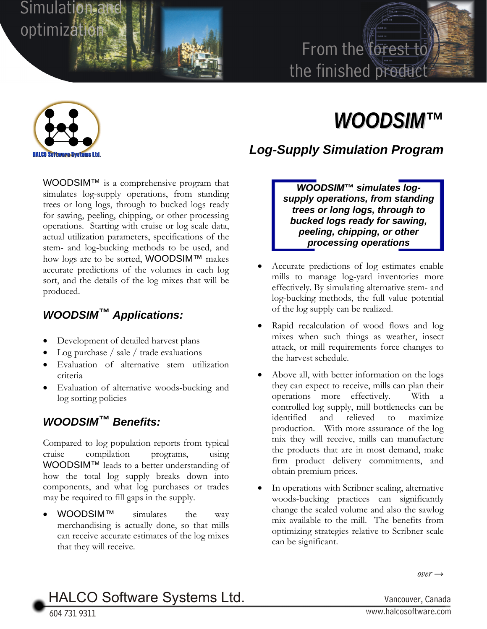

# From the forest to the finished product



# *WOODSIM™*

*Log-Supply Simulation Program* 

WOODSIM™ is a comprehensive program that simulates log-supply operations, from standing trees or long logs, through to bucked logs ready for sawing, peeling, chipping, or other processing operations. Starting with cruise or log scale data, actual utilization parameters, specifications of the stem- and log-bucking methods to be used, and how logs are to be sorted, WOODSIM™ makes accurate predictions of the volumes in each log sort, and the details of the log mixes that will be produced.

## *WOODSIM™ Applications:*

- Development of detailed harvest plans
- Log purchase / sale / trade evaluations
- Evaluation of alternative stem utilization criteria
- Evaluation of alternative woods-bucking and log sorting policies

#### *WOODSIM™ Benefits:*

Compared to log population reports from typical cruise compilation programs, using WOODSIM™ leads to a better understanding of how the total log supply breaks down into components, and what log purchases or trades may be required to fill gaps in the supply.

WOODSIM<sup>™</sup> simulates the way merchandising is actually done, so that mills can receive accurate estimates of the log mixes that they will receive.

*WOODSIM™ simulates logsupply operations, from standing trees or long logs, through to bucked logs ready for sawing, peeling, chipping, or other processing operations* 

- Accurate predictions of log estimates enable mills to manage log-yard inventories more effectively. By simulating alternative stem- and log-bucking methods, the full value potential of the log supply can be realized.
- Rapid recalculation of wood flows and log mixes when such things as weather, insect attack, or mill requirements force changes to the harvest schedule.
- Above all, with better information on the logs they can expect to receive, mills can plan their operations more effectively. With a controlled log supply, mill bottlenecks can be identified and relieved to maximize production. With more assurance of the log mix they will receive, mills can manufacture the products that are in most demand, make firm product delivery commitments, and obtain premium prices.
- In operations with Scribner scaling, alternative woods-bucking practices can significantly change the scaled volume and also the sawlog mix available to the mill. The benefits from optimizing strategies relative to Scribner scale can be significant.

 $over \rightarrow$ 

HALCO Software Systems Ltd. Vancouver, Canada

604 731 9311 <sup>W</sup>ww.halcosoftware.com